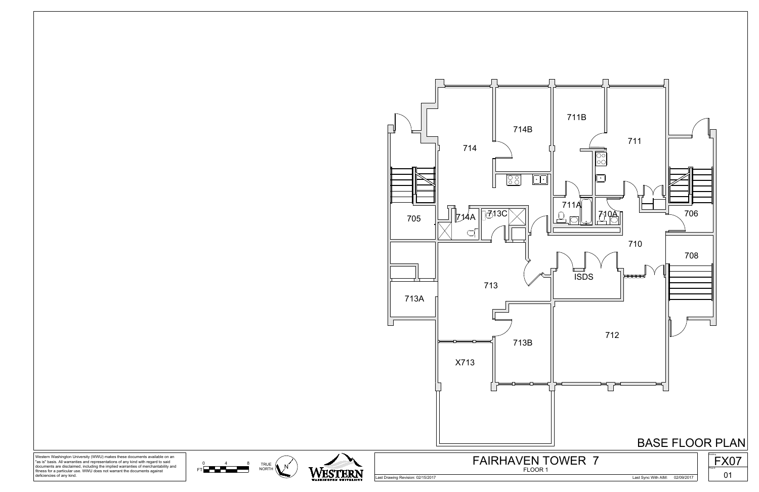

TRUE

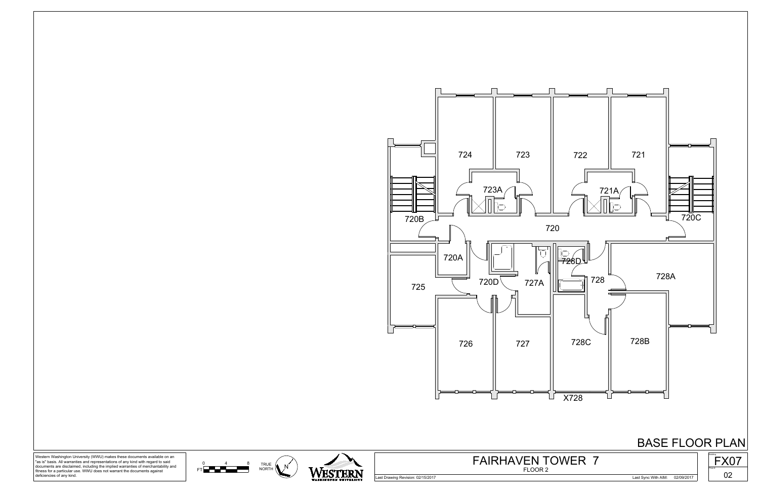



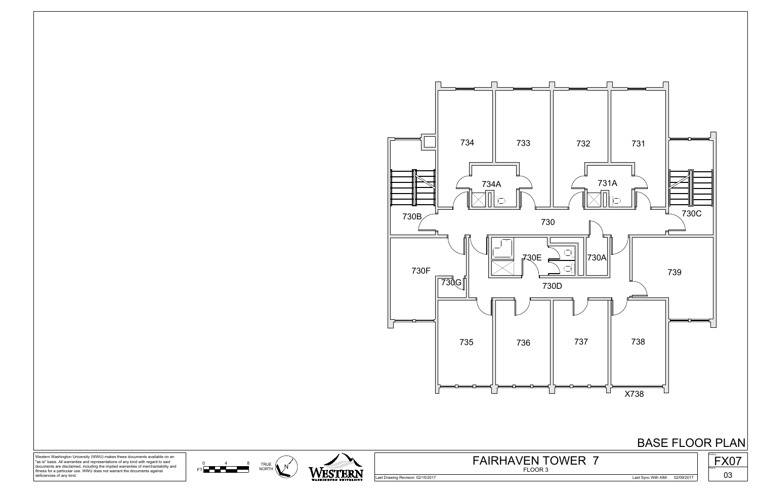